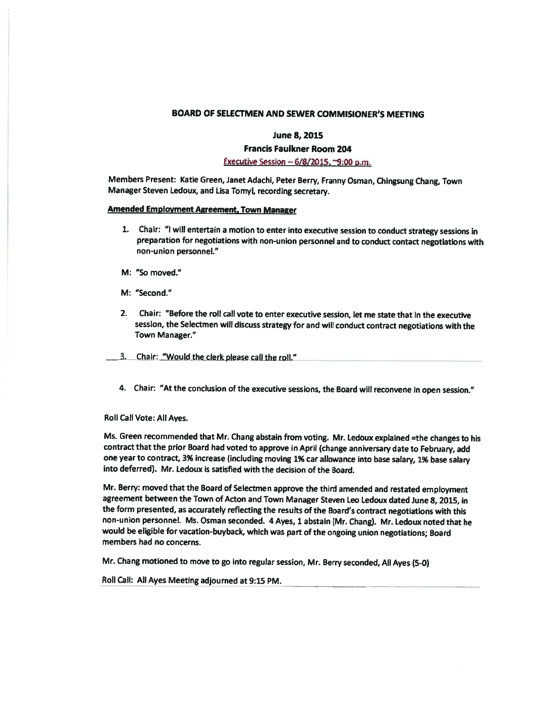## BOARD OF SELECTMEN AND SEWER COMMISIONER'S MEETING

### June 8, 2015

## Francis Faulkner Room 204

# Executive Session  $-6/8/2015$ ,  $-9:00$  p.m.

Members Present: Katie Green, Janet Adachi, Peter Berry, Franny Osman, Chingsung Chang, Town Manager Steven Ledoux, and Lisa Tomyl, recording secretary.

### Amended Employment Agreement. Town Manager

- 1. Chair: "I will entertain <sup>a</sup> motion to enter into executive session to conduct strategy sessions in preparation for negotiations with non-union personnel and to conduct contact negotiations with non-union personnel."
- M: "SO moved."
- M: "Second."
- 2. Chair: "Before the roll call vote to enter executive session, let me state that in the executive session, the Selectmen will discuss strategy for and will conduct contract negotiations with the Town Manager."

3. Chair: "Would the clerk please call the roll."

4. Chair: "At the conclusion of the executive sessions, the Board will reconvene in open session."

### Roll Call Vote: All Ayes.

Ms. Green recommended that Mr. Chang abstain from voting. Mr. Ledoux explained =the changes to his contract that the prior Board had voted to approve in April (change anniversary date to February, add one year to contract, 3% increase (including moving 1% car allowance into base salary, 1% base salary into deferred). Mr. Ledoux is satisfied with the decision of the Board.

Mr. Berry: moved that the Board of Selectmen approve the third amended and restated employment agreement between the Town of Acton and Town Manager Steven Leo Ledoux dated June 8, 2015, in the form presented, as accurately reflecting the results of the Board's contract negotiations with this non-union personnel. Ms. Osman seconded. <sup>4</sup> Ayes, <sup>1</sup> abstain (Mr. Chang). Mr. Ledoux noted that he would be eligible for vacation-buyback, which was part of the ongoing union negotiations; Board members had no concerns.

Mr. Chang motioned to move to go into regular session, Mr. Berry seconded, All Ayes (5-0)

Roll Call: All Ayes Meeting adjourned at 9:15 PM.